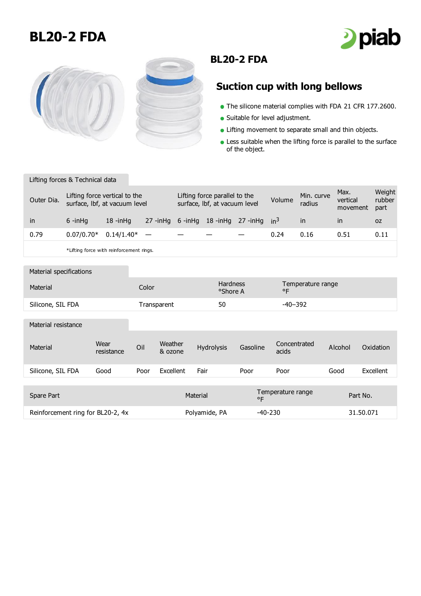## **BL20-2 FDA**





## **BL20-2 FDA**

## **Suction cup with long bellows**

- The silicone material complies with FDA 21 CFR 177.2600.
- Suitable for level adjustment.
- **.** Lifting movement to separate small and thin objects.
- **Less suitable when the lifting force is parallel to the surface** of the object.

Lifting forces & Technical data

| Outer Dia. | Lifting force vertical to the<br>surface, lbf, at vacuum level |                                           |  | Lifting force parallel to the<br>surface, Ibf, at vacuum level |  |                                           | Volume | Min. curve<br>radius | Max.<br>vertical<br>movement | Weight<br>rubber<br>part |
|------------|----------------------------------------------------------------|-------------------------------------------|--|----------------------------------------------------------------|--|-------------------------------------------|--------|----------------------|------------------------------|--------------------------|
| in         | $6 - in$ Ha                                                    | $18 - in$ Ha                              |  |                                                                |  | 27 -inHg 6 -inHg 18 -inHg 27 -inHg $in^3$ |        | in                   | $\mathsf{I}$                 | 0Z                       |
| 0.79       | $0.07/0.70*$                                                   | $0.14/1.40^*$ –                           |  |                                                                |  |                                           | 0.24   | 0.16                 | 0.51                         | 0.11                     |
|            |                                                                | * lifting force with reinforcement rings. |  |                                                                |  |                                           |        |                      |                              |                          |

\*Lifting force with reinforcement rings.

| Material specifications           |                    |             |                    |                                   |           |                                   |           |           |
|-----------------------------------|--------------------|-------------|--------------------|-----------------------------------|-----------|-----------------------------------|-----------|-----------|
| Material                          |                    | Color       |                    | <b>Hardness</b><br>°Shore A       |           | Temperature range<br>$^{\circ}$ F |           |           |
| Silicone, SIL FDA                 |                    | Transparent |                    | 50                                |           | $-40-392$                         |           |           |
| Material resistance               |                    |             |                    |                                   |           |                                   |           |           |
| Material                          | Wear<br>resistance | Oil         | Weather<br>& ozone | Hydrolysis                        | Gasoline  | Concentrated<br>acids             | Alcohol   | Oxidation |
| Silicone, SIL FDA                 | Good               | Poor        | Excellent          | Fair                              | Poor      | Poor                              | Good      | Excellent |
|                                   |                    |             |                    |                                   |           |                                   |           |           |
| Spare Part                        | Material           |             |                    | Temperature range<br>$^{\circ}$ F |           | Part No.                          |           |           |
| Reinforcement ring for BL20-2, 4x |                    |             |                    | Polyamide, PA                     | $-40-230$ |                                   | 31.50.071 |           |